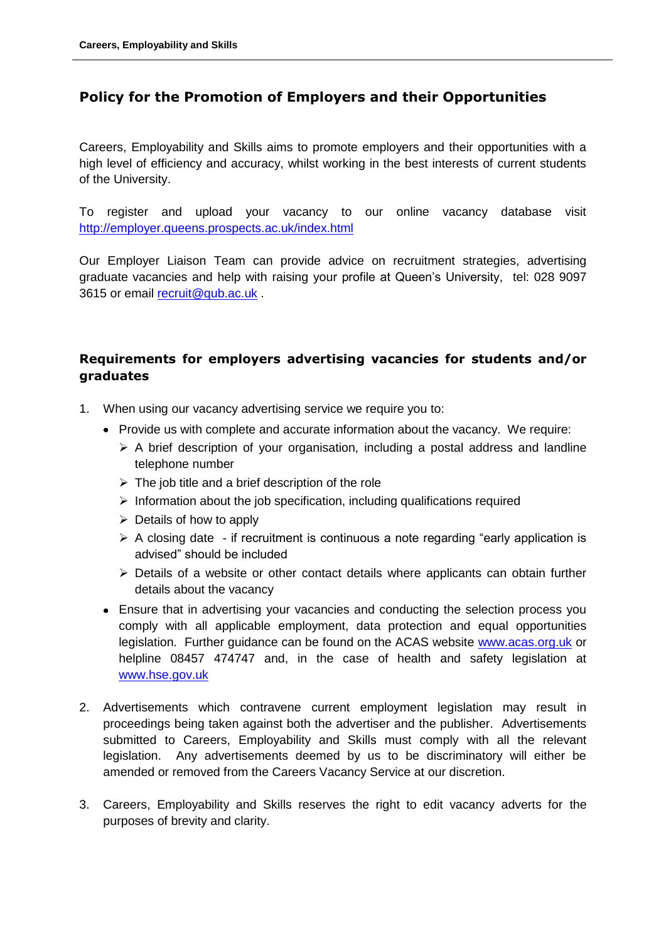## **Policy for the Promotion of Employers and their Opportunities**

Careers, Employability and Skills aims to promote employers and their opportunities with a high level of efficiency and accuracy, whilst working in the best interests of current students of the University.

To register and upload your vacancy to our online vacancy database visit <http://employer.queens.prospects.ac.uk/index.html>

Our Employer Liaison Team can provide advice on recruitment strategies, advertising graduate vacancies and help with raising your profile at Queen's University, tel: 028 9097 3615 or email [recruit@qub.ac.uk](mailto:recruit@qub.ac.uk).

## **Requirements for employers advertising vacancies for students and/or graduates**

- 1. When using our vacancy advertising service we require you to:
	- Provide us with complete and accurate information about the vacancy. We require:
		- $\triangleright$  A brief description of your organisation, including a postal address and landline telephone number
		- $\triangleright$  The job title and a brief description of the role
		- $\triangleright$  Information about the job specification, including qualifications required
		- $\triangleright$  Details of how to apply
		- $\triangleright$  A closing date if recruitment is continuous a note regarding "early application is advised" should be included
		- Details of a website or other contact details where applicants can obtain further details about the vacancy
	- Ensure that in advertising your vacancies and conducting the selection process you comply with all applicable employment, data protection and equal opportunities legislation. Further guidance can be found on the ACAS website [www.acas.org.uk](http://www.acas.org.uk/) or helpline 08457 474747 and, in the case of health and safety legislation at [www.hse.gov.uk](http://www.hse.gov.uk/)
- 2. Advertisements which contravene current employment legislation may result in proceedings being taken against both the advertiser and the publisher. Advertisements submitted to Careers, Employability and Skills must comply with all the relevant legislation. Any advertisements deemed by us to be discriminatory will either be amended or removed from the Careers Vacancy Service at our discretion.
- 3. Careers, Employability and Skills reserves the right to edit vacancy adverts for the purposes of brevity and clarity.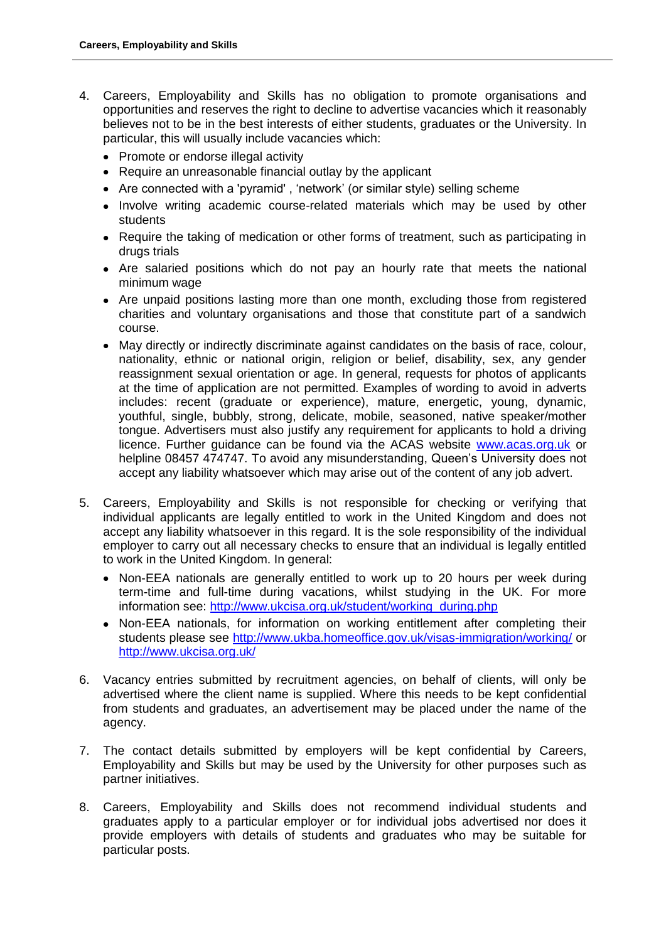- 4. Careers, Employability and Skills has no obligation to promote organisations and opportunities and reserves the right to decline to advertise vacancies which it reasonably believes not to be in the best interests of either students, graduates or the University. In particular, this will usually include vacancies which:
	- Promote or endorse illegal activity
	- Require an unreasonable financial outlay by the applicant
	- Are connected with a 'pyramid' , 'network' (or similar style) selling scheme
	- Involve writing academic course-related materials which may be used by other students
	- Require the taking of medication or other forms of treatment, such as participating in drugs trials
	- Are salaried positions which do not pay an hourly rate that meets the national minimum wage
	- Are unpaid positions lasting more than one month, excluding those from registered charities and voluntary organisations and those that constitute part of a sandwich course.
	- May directly or indirectly discriminate against candidates on the basis of race, colour, nationality, ethnic or national origin, religion or belief, disability, sex, any gender reassignment sexual orientation or age. In general, requests for photos of applicants at the time of application are not permitted. Examples of wording to avoid in adverts includes: recent (graduate or experience), mature, energetic, young, dynamic, youthful, single, bubbly, strong, delicate, mobile, seasoned, native speaker/mother tongue. Advertisers must also justify any requirement for applicants to hold a driving licence. Further guidance can be found via the ACAS website [www.acas.org.uk](http://www.acas.org.uk/) or helpline 08457 474747. To avoid any misunderstanding, Queen's University does not accept any liability whatsoever which may arise out of the content of any job advert.
- 5. Careers, Employability and Skills is not responsible for checking or verifying that individual applicants are legally entitled to work in the United Kingdom and does not accept any liability whatsoever in this regard. It is the sole responsibility of the individual employer to carry out all necessary checks to ensure that an individual is legally entitled to work in the United Kingdom. In general:
	- Non-EEA nationals are generally entitled to work up to 20 hours per week during term-time and full-time during vacations, whilst studying in the UK. For more information see: [http://www.ukcisa.org.uk/student/working\\_during.php](http://www.ukcisa.org.uk/student/working_during.php)
	- Non-EEA nationals, for information on working entitlement after completing their students please see<http://www.ukba.homeoffice.gov.uk/visas-immigration/working/> or <http://www.ukcisa.org.uk/>
- 6. Vacancy entries submitted by recruitment agencies, on behalf of clients, will only be advertised where the client name is supplied. Where this needs to be kept confidential from students and graduates, an advertisement may be placed under the name of the agency.
- 7. The contact details submitted by employers will be kept confidential by Careers, Employability and Skills but may be used by the University for other purposes such as partner initiatives.
- 8. Careers, Employability and Skills does not recommend individual students and graduates apply to a particular employer or for individual jobs advertised nor does it provide employers with details of students and graduates who may be suitable for particular posts.